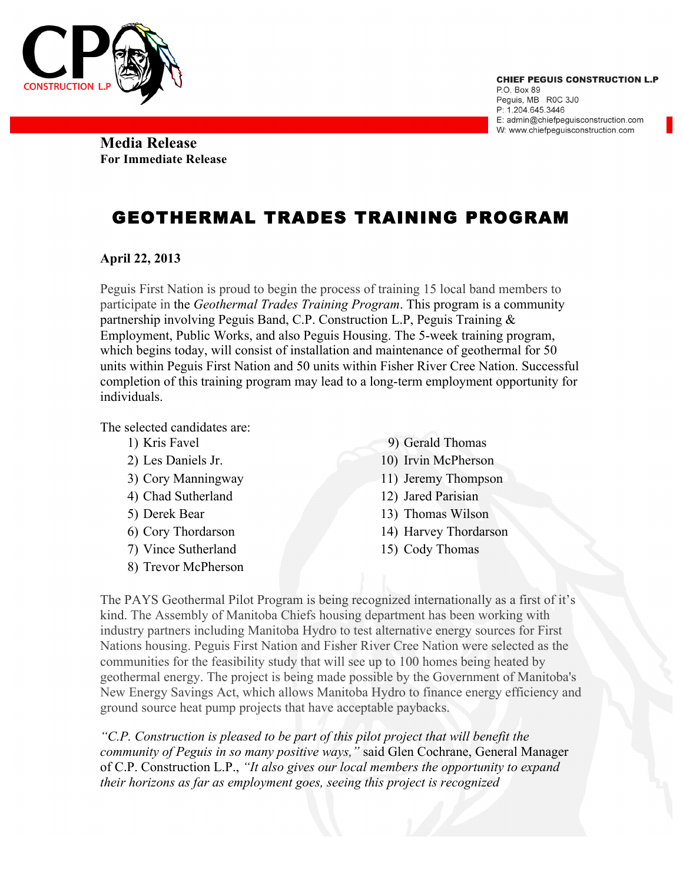

**Media Release For Immediate Release** 

## GEOTHERMAL TRADES TRAINING PROGRAM

## **April 22, 2013**

Peguis First Nation is proud to begin the process of training 15 local band members to participate in the *Geothermal Trades Training Program*. This program is a community partnership involving Peguis Band, C.P. Construction L.P, Peguis Training & Employment, Public Works, and also Peguis Housing. The 5-week training program, which begins today, will consist of installation and maintenance of geothermal for 50 units within Peguis First Nation and 50 units within Fisher River Cree Nation. Successful completion of this training program may lead to a long-term employment opportunity for individuals.

The selected candidates are:

- 1) Kris Favel
- 2) Les Daniels Jr.
- 3) Cory Manningway
- 4) Chad Sutherland
- 5) Derek Bear
- 6) Cory Thordarson
- 7) Vince Sutherland
- 8) Trevor McPherson
- 9) Gerald Thomas
- 10) Irvin McPherson
- 11) Jeremy Thompson
- 12) Jared Parisian
- 13) Thomas Wilson
- 14) Harvey Thordarson
- 15) Cody Thomas

The PAYS Geothermal Pilot Program is being recognized internationally as a first of it's kind. The Assembly of Manitoba Chiefs housing department has been working with industry partners including Manitoba Hydro to test alternative energy sources for First Nations housing. Peguis First Nation and Fisher River Cree Nation were selected as the communities for the feasibility study that will see up to 100 homes being heated by geothermal energy. The project is being made possible by the Government of Manitoba's New Energy Savings Act, which allows Manitoba Hydro to finance energy efficiency and ground source heat pump projects that have acceptable paybacks.

*"C.P. Construction is pleased to be part of this pilot project that will benefit the community of Peguis in so many positive ways,"* said Glen Cochrane, General Manager of C.P. Construction L.P., *"It also gives our local members the opportunity to expand their horizons as far as employment goes, seeing this project is recognized*